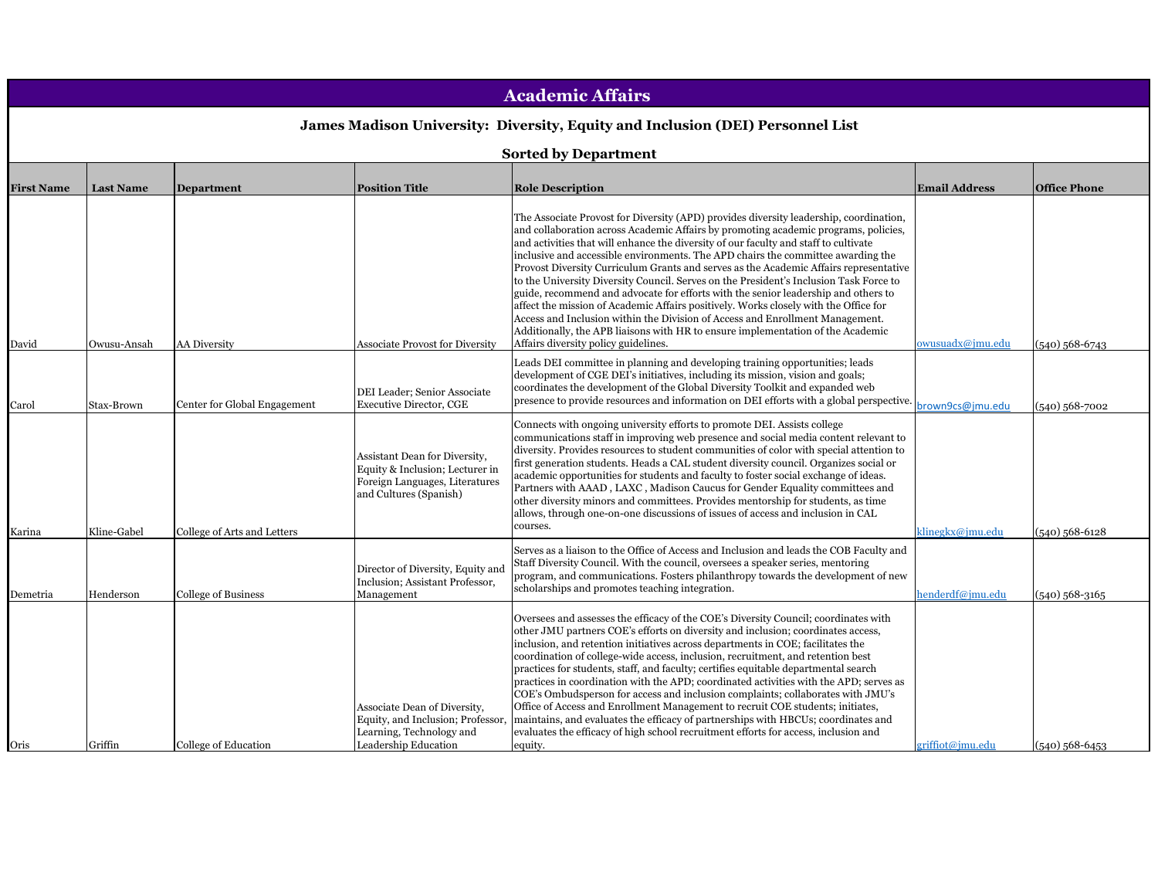| <b>Academic Affairs</b>                                                        |                  |                              |                                                                                                                              |                                                                                                                                                                                                                                                                                                                                                                                                                                                                                                                                                                                                                                                                                                                                                                                                                                                                                                                                        |                      |                     |  |
|--------------------------------------------------------------------------------|------------------|------------------------------|------------------------------------------------------------------------------------------------------------------------------|----------------------------------------------------------------------------------------------------------------------------------------------------------------------------------------------------------------------------------------------------------------------------------------------------------------------------------------------------------------------------------------------------------------------------------------------------------------------------------------------------------------------------------------------------------------------------------------------------------------------------------------------------------------------------------------------------------------------------------------------------------------------------------------------------------------------------------------------------------------------------------------------------------------------------------------|----------------------|---------------------|--|
| James Madison University: Diversity, Equity and Inclusion (DEI) Personnel List |                  |                              |                                                                                                                              |                                                                                                                                                                                                                                                                                                                                                                                                                                                                                                                                                                                                                                                                                                                                                                                                                                                                                                                                        |                      |                     |  |
| <b>Sorted by Department</b>                                                    |                  |                              |                                                                                                                              |                                                                                                                                                                                                                                                                                                                                                                                                                                                                                                                                                                                                                                                                                                                                                                                                                                                                                                                                        |                      |                     |  |
|                                                                                |                  |                              |                                                                                                                              |                                                                                                                                                                                                                                                                                                                                                                                                                                                                                                                                                                                                                                                                                                                                                                                                                                                                                                                                        |                      |                     |  |
| <b>First Name</b>                                                              | <b>Last Name</b> | <b>Department</b>            | <b>Position Title</b>                                                                                                        | <b>Role Description</b>                                                                                                                                                                                                                                                                                                                                                                                                                                                                                                                                                                                                                                                                                                                                                                                                                                                                                                                | <b>Email Address</b> | <b>Office Phone</b> |  |
| David                                                                          | Owusu-Ansah      | <b>AA Diversity</b>          | <b>Associate Provost for Diversity</b>                                                                                       | The Associate Provost for Diversity (APD) provides diversity leadership, coordination,<br>and collaboration across Academic Affairs by promoting academic programs, policies,<br>and activities that will enhance the diversity of our faculty and staff to cultivate<br>inclusive and accessible environments. The APD chairs the committee awarding the<br>Provost Diversity Curriculum Grants and serves as the Academic Affairs representative<br>to the University Diversity Council. Serves on the President's Inclusion Task Force to<br>guide, recommend and advocate for efforts with the senior leadership and others to<br>affect the mission of Academic Affairs positively. Works closely with the Office for<br>Access and Inclusion within the Division of Access and Enrollment Management.<br>Additionally, the APB liaisons with HR to ensure implementation of the Academic<br>Affairs diversity policy guidelines. | owusuadx@jmu.edu     | $(540)$ 568-6743    |  |
| Carol                                                                          | Stax-Brown       | Center for Global Engagement | DEI Leader; Senior Associate<br><b>Executive Director, CGE</b>                                                               | Leads DEI committee in planning and developing training opportunities; leads<br>development of CGE DEI's initiatives, including its mission, vision and goals;<br>coordinates the development of the Global Diversity Toolkit and expanded web<br>presence to provide resources and information on DEI efforts with a global perspective.                                                                                                                                                                                                                                                                                                                                                                                                                                                                                                                                                                                              | brown9cs@jmu.edu     | $(540)$ 568-7002    |  |
| Karina                                                                         | Kline-Gabel      | College of Arts and Letters  | Assistant Dean for Diversity,<br>Equity & Inclusion; Lecturer in<br>Foreign Languages, Literatures<br>and Cultures (Spanish) | Connects with ongoing university efforts to promote DEI. Assists college<br>communications staff in improving web presence and social media content relevant to<br>diversity. Provides resources to student communities of color with special attention to<br>first generation students. Heads a CAL student diversity council. Organizes social or<br>academic opportunities for students and faculty to foster social exchange of ideas.<br>Partners with AAAD, LAXC, Madison Caucus for Gender Equality committees and<br>other diversity minors and committees. Provides mentorship for students, as time<br>allows, through one-on-one discussions of issues of access and inclusion in CAL<br>courses.                                                                                                                                                                                                                           | klinegkx@jmu.edu     | $(540)$ 568-6128    |  |
| Demetria                                                                       | Henderson        | <b>College of Business</b>   | Director of Diversity, Equity and<br>Inclusion; Assistant Professor,<br>Management                                           | Serves as a liaison to the Office of Access and Inclusion and leads the COB Faculty and<br>Staff Diversity Council. With the council, oversees a speaker series, mentoring<br>program, and communications. Fosters philanthropy towards the development of new<br>scholarships and promotes teaching integration.                                                                                                                                                                                                                                                                                                                                                                                                                                                                                                                                                                                                                      | henderdf@imu.edu     | $(540)$ 568-3165    |  |
| Oris                                                                           | Griffin          | College of Education         | Associate Dean of Diversity,<br>Equity, and Inclusion; Professor<br>Learning, Technology and<br>Leadership Education         | Oversees and assesses the efficacy of the COE's Diversity Council; coordinates with<br>other JMU partners COE's efforts on diversity and inclusion; coordinates access,<br>inclusion, and retention initiatives across departments in COE; facilitates the<br>coordination of college-wide access, inclusion, recruitment, and retention best<br>practices for students, staff, and faculty; certifies equitable departmental search<br>practices in coordination with the APD; coordinated activities with the APD; serves as<br>COE's Ombudsperson for access and inclusion complaints; collaborates with JMU's<br>Office of Access and Enrollment Management to recruit COE students; initiates,<br>maintains, and evaluates the efficacy of partnerships with HBCUs; coordinates and<br>evaluates the efficacy of high school recruitment efforts for access, inclusion and<br>equity.                                             | griffiot@jmu.edu     | $(540)$ 568-6453    |  |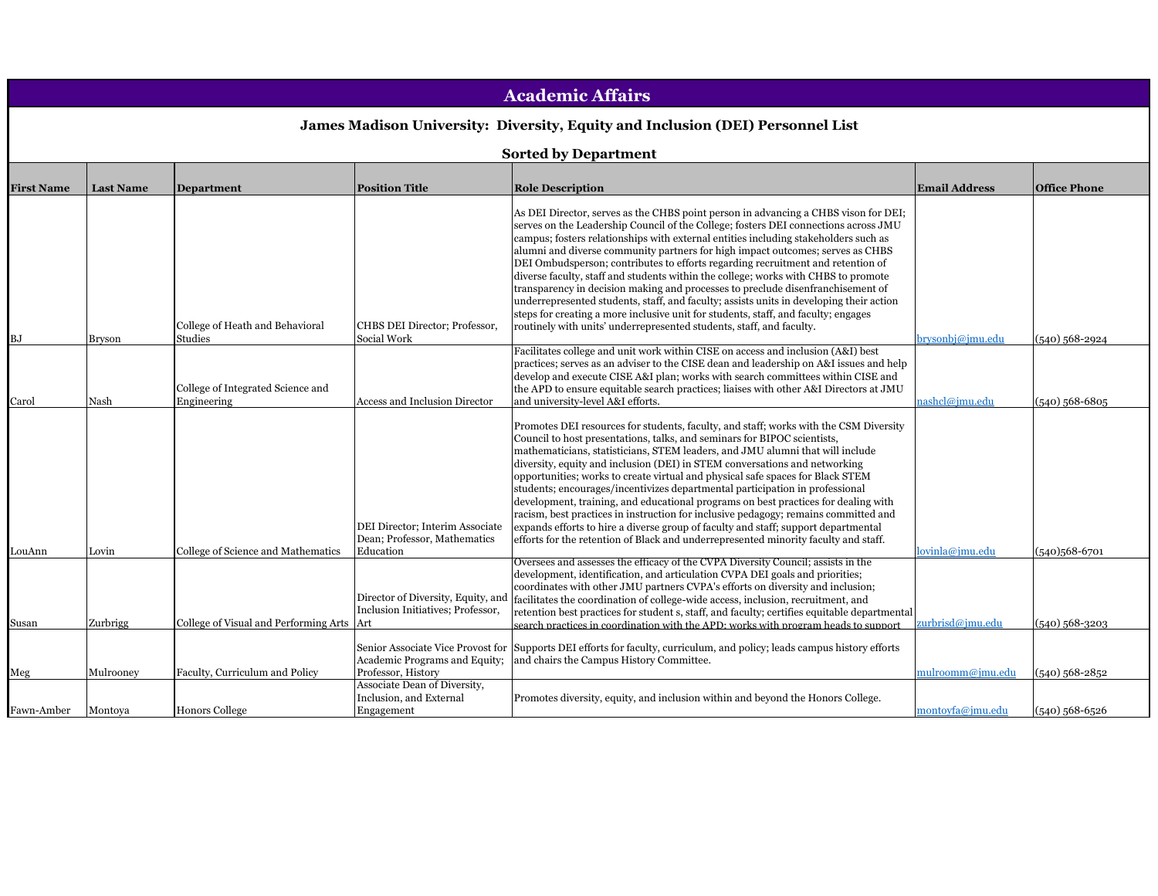| <b>Academic Affairs</b>                                                        |                             |                                                                         |                                                                                      |                                                                                                                                                                                                                                                                                                                                                                                                                                                                                                                                                                                                                                                                                                                                                                                                                                                                          |                                     |                                  |  |  |  |
|--------------------------------------------------------------------------------|-----------------------------|-------------------------------------------------------------------------|--------------------------------------------------------------------------------------|--------------------------------------------------------------------------------------------------------------------------------------------------------------------------------------------------------------------------------------------------------------------------------------------------------------------------------------------------------------------------------------------------------------------------------------------------------------------------------------------------------------------------------------------------------------------------------------------------------------------------------------------------------------------------------------------------------------------------------------------------------------------------------------------------------------------------------------------------------------------------|-------------------------------------|----------------------------------|--|--|--|
| James Madison University: Diversity, Equity and Inclusion (DEI) Personnel List |                             |                                                                         |                                                                                      |                                                                                                                                                                                                                                                                                                                                                                                                                                                                                                                                                                                                                                                                                                                                                                                                                                                                          |                                     |                                  |  |  |  |
|                                                                                |                             |                                                                         |                                                                                      |                                                                                                                                                                                                                                                                                                                                                                                                                                                                                                                                                                                                                                                                                                                                                                                                                                                                          |                                     |                                  |  |  |  |
|                                                                                | <b>Sorted by Department</b> |                                                                         |                                                                                      |                                                                                                                                                                                                                                                                                                                                                                                                                                                                                                                                                                                                                                                                                                                                                                                                                                                                          |                                     |                                  |  |  |  |
| <b>First Name</b>                                                              | <b>Last Name</b>            | <b>Department</b>                                                       | <b>Position Title</b>                                                                | <b>Role Description</b>                                                                                                                                                                                                                                                                                                                                                                                                                                                                                                                                                                                                                                                                                                                                                                                                                                                  | <b>Email Address</b>                | <b>Office Phone</b>              |  |  |  |
| ВJ                                                                             | Bryson                      | College of Heath and Behavioral<br>Studies                              | CHBS DEI Director; Professor,<br>Social Work                                         | As DEI Director, serves as the CHBS point person in advancing a CHBS vison for DEI;<br>serves on the Leadership Council of the College; fosters DEI connections across JMU<br>campus; fosters relationships with external entities including stakeholders such as<br>alumni and diverse community partners for high impact outcomes; serves as CHBS<br>DEI Ombudsperson; contributes to efforts regarding recruitment and retention of<br>diverse faculty, staff and students within the college; works with CHBS to promote<br>transparency in decision making and processes to preclude disenfranchisement of<br>underrepresented students, staff, and faculty; assists units in developing their action<br>steps for creating a more inclusive unit for students, staff, and faculty; engages<br>routinely with units' underrepresented students, staff, and faculty. | brysonbj@jmu.edu                    | (540) 568-2924                   |  |  |  |
| Carol                                                                          | Nash                        | College of Integrated Science and<br>Engineering                        | Access and Inclusion Director                                                        | Facilitates college and unit work within CISE on access and inclusion (A&I) best<br>practices; serves as an adviser to the CISE dean and leadership on A&I issues and help<br>develop and execute CISE A&I plan; works with search committees within CISE and<br>the APD to ensure equitable search practices; liaises with other A&I Directors at JMU<br>and university-level A&I efforts.                                                                                                                                                                                                                                                                                                                                                                                                                                                                              | nashcl@imu.edu                      | (540) 568-6805                   |  |  |  |
|                                                                                |                             |                                                                         | DEI Director; Interim Associate<br>Dean; Professor, Mathematics                      | Promotes DEI resources for students, faculty, and staff; works with the CSM Diversity<br>Council to host presentations, talks, and seminars for BIPOC scientists,<br>mathematicians, statisticians, STEM leaders, and JMU alumni that will include<br>diversity, equity and inclusion (DEI) in STEM conversations and networking<br>opportunities; works to create virtual and physical safe spaces for Black STEM<br>students; encourages/incentivizes departmental participation in professional<br>development, training, and educational programs on best practices for dealing with<br>racism, best practices in instruction for inclusive pedagogy; remains committed and<br>expands efforts to hire a diverse group of faculty and staff; support departmental<br>efforts for the retention of Black and underrepresented minority faculty and staff.             |                                     |                                  |  |  |  |
| LouAnn                                                                         | Lovin                       | College of Science and Mathematics                                      | Education<br>Director of Diversity, Equity, and<br>Inclusion Initiatives; Professor, | Oversees and assesses the efficacy of the CVPA Diversity Council; assists in the<br>development, identification, and articulation CVPA DEI goals and priorities;<br>coordinates with other JMU partners CVPA's efforts on diversity and inclusion;<br>facilitates the coordination of college-wide access, inclusion, recruitment, and<br>retention best practices for student s, staff, and faculty; certifies equitable departmental                                                                                                                                                                                                                                                                                                                                                                                                                                   | lovinla@jmu.edu                     | (540)568-6701                    |  |  |  |
| Susan<br>Meg                                                                   | Zurbrigg<br>Mulrooney       | College of Visual and Performing Arts<br>Faculty, Curriculum and Policy | Art<br>Academic Programs and Equity;<br>Professor, History                           | search practices in coordination with the APD; works with program heads to support<br>Senior Associate Vice Provost for Supports DEI efforts for faculty, curriculum, and policy; leads campus history efforts<br>and chairs the Campus History Committee.                                                                                                                                                                                                                                                                                                                                                                                                                                                                                                                                                                                                               | urbrisd@jmu.edu<br>mulroomm@jmu.edu | (540) 568-3203<br>(540) 568-2852 |  |  |  |
| Fawn-Amber                                                                     | Montova                     | <b>Honors College</b>                                                   | Associate Dean of Diversity,<br>Inclusion, and External<br>Engagement                | Promotes diversity, equity, and inclusion within and beyond the Honors College.                                                                                                                                                                                                                                                                                                                                                                                                                                                                                                                                                                                                                                                                                                                                                                                          | montoyfa@jmu.edu                    | (540) 568-6526                   |  |  |  |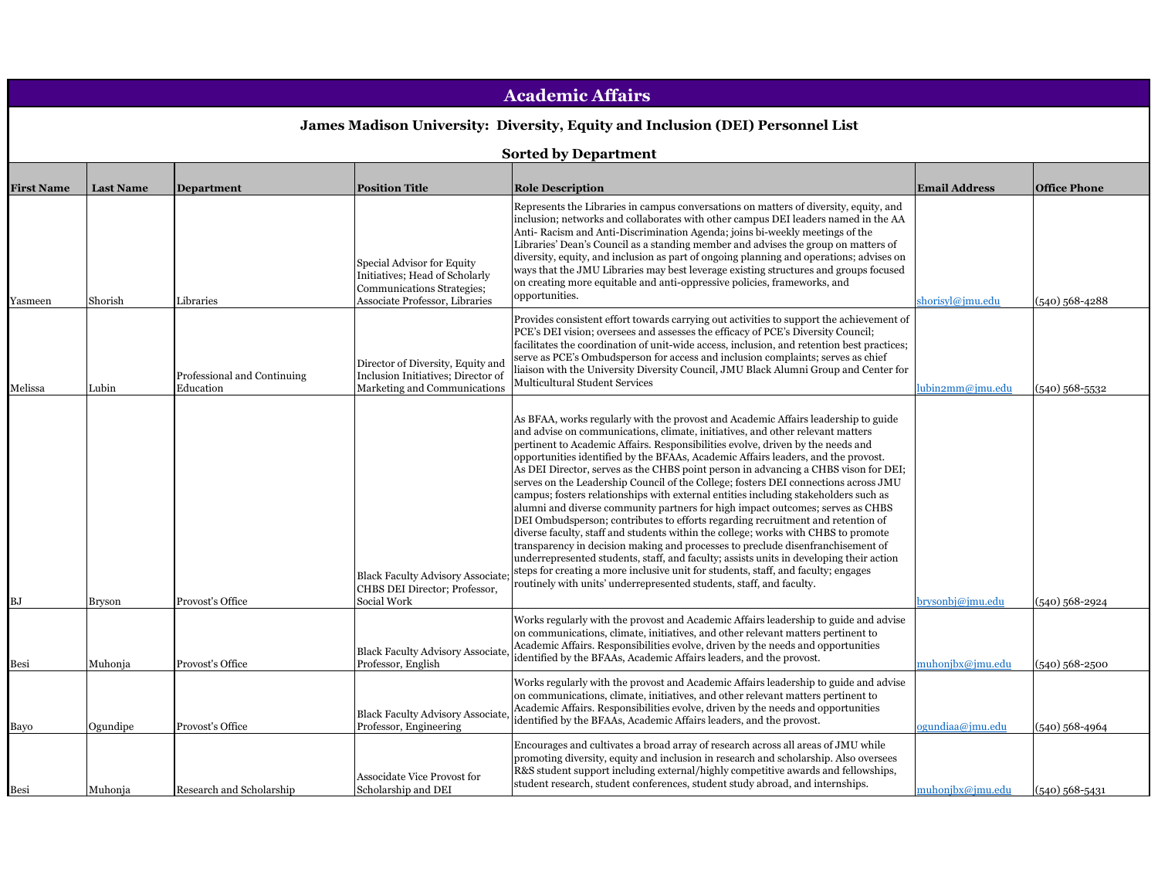| <b>Academic Affairs</b><br>James Madison University: Diversity, Equity and Inclusion (DEI) Personnel List<br><b>Sorted by Department</b> |          |                                          |                                                                                                         |                                                                                                                                                                                                                                                                                                                                                                                                                                                                                                                                                                                                                                                                                                                                                                                                                                                                                                                                                                                                                                                                                                                                                                                                                          |                  |                  |  |                   |                  |                   |                                                                                                                                             |                                                                                                                                                                                                                                                                                                                                                                                                                                                                                                                                                                                                                                   |                      |                     |
|------------------------------------------------------------------------------------------------------------------------------------------|----------|------------------------------------------|---------------------------------------------------------------------------------------------------------|--------------------------------------------------------------------------------------------------------------------------------------------------------------------------------------------------------------------------------------------------------------------------------------------------------------------------------------------------------------------------------------------------------------------------------------------------------------------------------------------------------------------------------------------------------------------------------------------------------------------------------------------------------------------------------------------------------------------------------------------------------------------------------------------------------------------------------------------------------------------------------------------------------------------------------------------------------------------------------------------------------------------------------------------------------------------------------------------------------------------------------------------------------------------------------------------------------------------------|------------------|------------------|--|-------------------|------------------|-------------------|---------------------------------------------------------------------------------------------------------------------------------------------|-----------------------------------------------------------------------------------------------------------------------------------------------------------------------------------------------------------------------------------------------------------------------------------------------------------------------------------------------------------------------------------------------------------------------------------------------------------------------------------------------------------------------------------------------------------------------------------------------------------------------------------|----------------------|---------------------|
|                                                                                                                                          |          |                                          |                                                                                                         |                                                                                                                                                                                                                                                                                                                                                                                                                                                                                                                                                                                                                                                                                                                                                                                                                                                                                                                                                                                                                                                                                                                                                                                                                          |                  |                  |  | <b>First Name</b> | <b>Last Name</b> | <b>Department</b> | <b>Position Title</b>                                                                                                                       | <b>Role Description</b>                                                                                                                                                                                                                                                                                                                                                                                                                                                                                                                                                                                                           | <b>Email Address</b> | <b>Office Phone</b> |
|                                                                                                                                          |          |                                          |                                                                                                         |                                                                                                                                                                                                                                                                                                                                                                                                                                                                                                                                                                                                                                                                                                                                                                                                                                                                                                                                                                                                                                                                                                                                                                                                                          |                  |                  |  | Yasmeen           | Shorish          | Libraries         | <b>Special Advisor for Equity</b><br>Initiatives; Head of Scholarly<br>Communications Strategies;<br><b>Associate Professor</b> , Libraries | Represents the Libraries in campus conversations on matters of diversity, equity, and<br>inclusion; networks and collaborates with other campus DEI leaders named in the AA<br>Anti-Racism and Anti-Discrimination Agenda; joins bi-weekly meetings of the<br>Libraries' Dean's Council as a standing member and advises the group on matters of<br>diversity, equity, and inclusion as part of ongoing planning and operations; advises on<br>ways that the JMU Libraries may best leverage existing structures and groups focused<br>on creating more equitable and anti-oppressive policies, frameworks, and<br>opportunities. | shorisyl@jmu.edu     | $(540)$ 568-4288    |
| Melissa                                                                                                                                  | Lubin    | Professional and Continuing<br>Education | Director of Diversity, Equity and<br>Inclusion Initiatives; Director of<br>Marketing and Communications | Provides consistent effort towards carrying out activities to support the achievement of<br>PCE's DEI vision; oversees and assesses the efficacy of PCE's Diversity Council;<br>facilitates the coordination of unit-wide access, inclusion, and retention best practices;<br>serve as PCE's Ombudsperson for access and inclusion complaints; serves as chief<br>liaison with the University Diversity Council, JMU Black Alumni Group and Center for<br>Multicultural Student Services                                                                                                                                                                                                                                                                                                                                                                                                                                                                                                                                                                                                                                                                                                                                 | ubin2mm@jmu.edu  | $(540)$ 568-5532 |  |                   |                  |                   |                                                                                                                                             |                                                                                                                                                                                                                                                                                                                                                                                                                                                                                                                                                                                                                                   |                      |                     |
| BJ                                                                                                                                       | Bryson   | Provost's Office                         | <b>Black Faculty Advisory Associate</b><br>CHBS DEI Director; Professor,<br>Social Work                 | As BFAA, works regularly with the provost and Academic Affairs leadership to guide<br>and advise on communications, climate, initiatives, and other relevant matters<br>pertinent to Academic Affairs. Responsibilities evolve, driven by the needs and<br>opportunities identified by the BFAAs, Academic Affairs leaders, and the provost.<br>As DEI Director, serves as the CHBS point person in advancing a CHBS vison for DEI;<br>serves on the Leadership Council of the College; fosters DEI connections across JMU<br>campus; fosters relationships with external entities including stakeholders such as<br>alumni and diverse community partners for high impact outcomes; serves as CHBS<br>DEI Ombudsperson; contributes to efforts regarding recruitment and retention of<br>diverse faculty, staff and students within the college; works with CHBS to promote<br>transparency in decision making and processes to preclude disenfranchisement of<br>underrepresented students, staff, and faculty; assists units in developing their action<br>steps for creating a more inclusive unit for students, staff, and faculty; engages<br>routinely with units' underrepresented students, staff, and faculty. | brysonbj@jmu.edu | $(540)$ 568-2924 |  |                   |                  |                   |                                                                                                                                             |                                                                                                                                                                                                                                                                                                                                                                                                                                                                                                                                                                                                                                   |                      |                     |
| Besi                                                                                                                                     | Muhonja  | Provost's Office                         | <b>Black Faculty Advisory Associate</b><br>Professor, English                                           | Works regularly with the provost and Academic Affairs leadership to guide and advise<br>on communications, climate, initiatives, and other relevant matters pertinent to<br>Academic Affairs. Responsibilities evolve, driven by the needs and opportunities<br>identified by the BFAAs, Academic Affairs leaders, and the provost.                                                                                                                                                                                                                                                                                                                                                                                                                                                                                                                                                                                                                                                                                                                                                                                                                                                                                      | muhonjbx@jmu.edu | $(540)$ 568-2500 |  |                   |                  |                   |                                                                                                                                             |                                                                                                                                                                                                                                                                                                                                                                                                                                                                                                                                                                                                                                   |                      |                     |
| Bayo                                                                                                                                     | Ogundipe | Provost's Office                         | <b>Black Faculty Advisory Associate</b><br>Professor, Engineering                                       | Works regularly with the provost and Academic Affairs leadership to guide and advise<br>on communications, climate, initiatives, and other relevant matters pertinent to<br>Academic Affairs. Responsibilities evolve, driven by the needs and opportunities<br>identified by the BFAAs, Academic Affairs leaders, and the provost.                                                                                                                                                                                                                                                                                                                                                                                                                                                                                                                                                                                                                                                                                                                                                                                                                                                                                      | ogundiaa@jmu.edu | $(540)$ 568-4964 |  |                   |                  |                   |                                                                                                                                             |                                                                                                                                                                                                                                                                                                                                                                                                                                                                                                                                                                                                                                   |                      |                     |
| Besi                                                                                                                                     | Muhonia  | Research and Scholarship                 | Associdate Vice Provost for<br>Scholarship and DEI                                                      | Encourages and cultivates a broad array of research across all areas of JMU while<br>promoting diversity, equity and inclusion in research and scholarship. Also oversees<br>R&S student support including external/highly competitive awards and fellowships,<br>student research, student conferences, student study abroad, and internships.                                                                                                                                                                                                                                                                                                                                                                                                                                                                                                                                                                                                                                                                                                                                                                                                                                                                          | muhonibx@imu.edu | $(540)$ 568-5431 |  |                   |                  |                   |                                                                                                                                             |                                                                                                                                                                                                                                                                                                                                                                                                                                                                                                                                                                                                                                   |                      |                     |